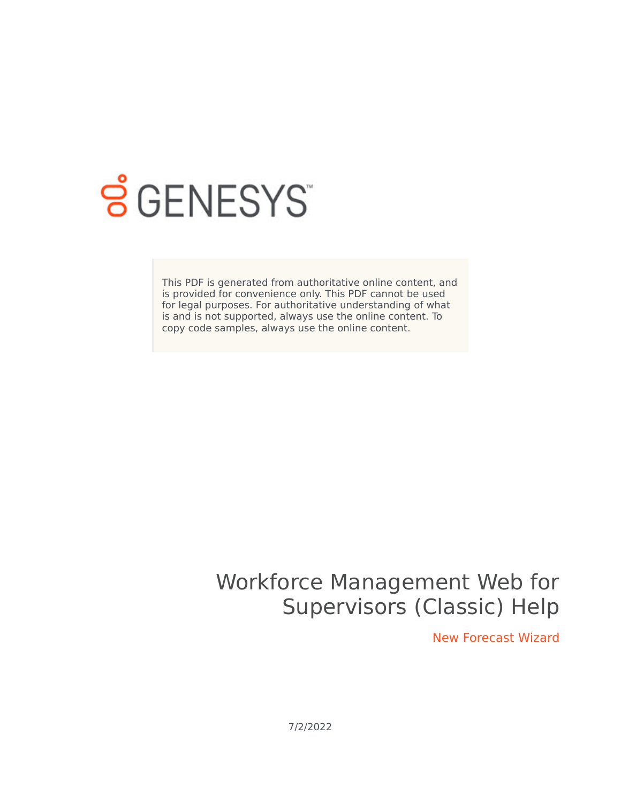

# **S** GENESYS

This PDF is generated from authoritative online content, and is provided for convenience only. This PDF cannot be used for legal purposes. For authoritative understanding of what is and is not supported, always use the online content. To copy code samples, always use the online content.

## Workforce Management Web for Supervisors (Classic) Help

New Forecast Wizard

7/2/2022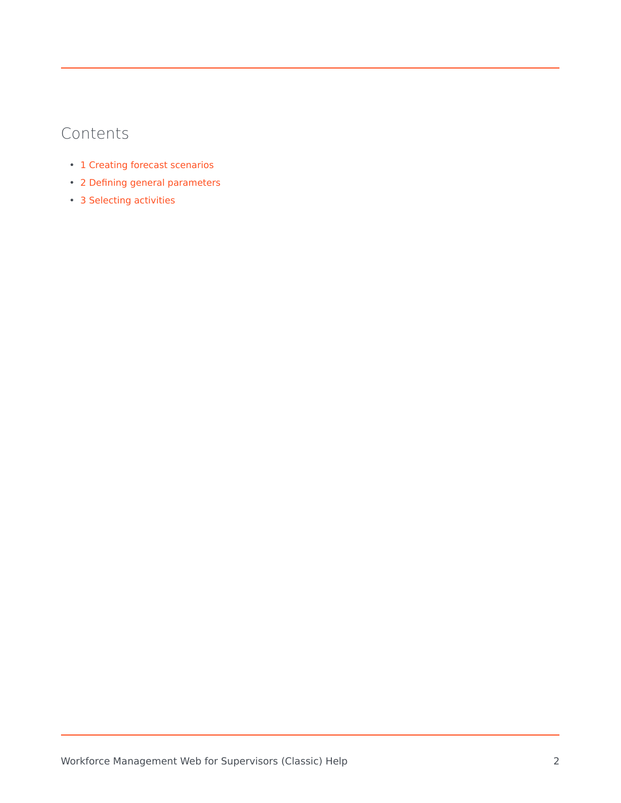## Contents

- 1 [Creating forecast scenarios](#page-2-0)
- 2 [Defining general parameters](#page-3-0)
- 3 [Selecting activities](#page-3-1)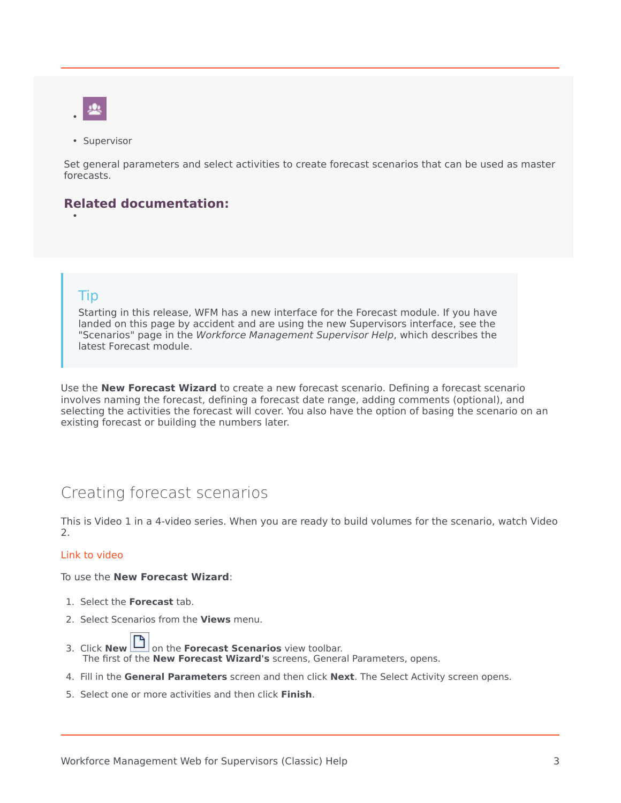- •
- Supervisor

Set general parameters and select activities to create forecast scenarios that can be used as master forecasts.

#### **Related documentation:**

#### Tip

•

Starting in this release, WFM has a new interface for the Forecast module. If you have landed on this page by accident and are using the new Supervisors interface, see the "Scenarios" page in the *Workforce Management Supervisor Help*, which describes the latest Forecast module.

Use the **New Forecast Wizard** to create a new forecast scenario. Defining a forecast scenario involves naming the forecast, defining a forecast date range, adding comments (optional), and selecting the activities the forecast will cover. You also have the option of basing the scenario on an existing forecast or building the numbers later.

## <span id="page-2-0"></span>Creating forecast scenarios

This is Video 1 in a 4-video series. When you are ready to build volumes for the scenario, watch Video 2.

#### [Link to video](https://player.vimeo.com/video/268859442?title=0&byline=0&portrait=0)

To use the **New Forecast Wizard**:

- 1. Select the **Forecast** tab.
- 2. Select Scenarios from the **Views** menu.
- 3. Click **New | 0** on the **Forecast Scenarios** view toolbar. The first of the **New Forecast Wizard's** screens, General Parameters, opens.
- 4. Fill in the **General Parameters** screen and then click **Next**. The Select Activity screen opens.
- 5. Select one or more activities and then click **Finish**.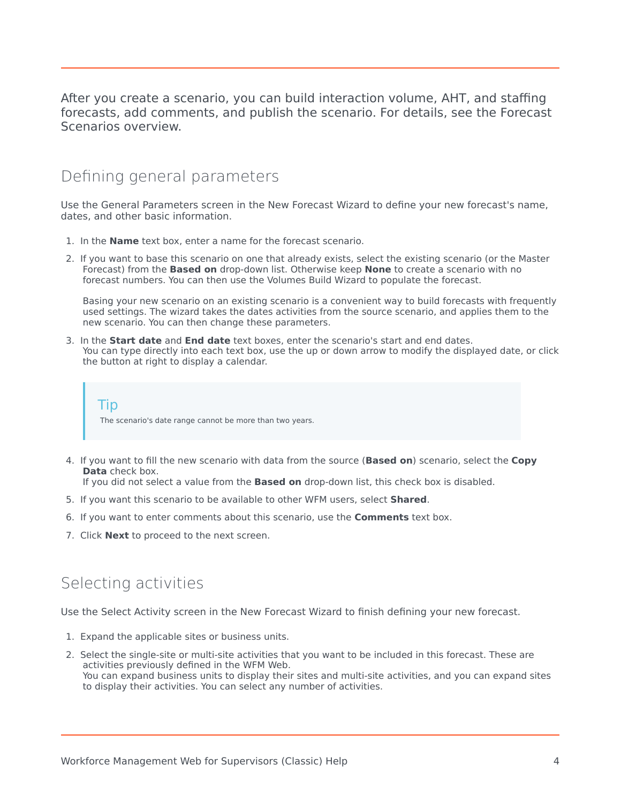After you create a scenario, you can build interaction volume, AHT, and staffing forecasts, add comments, and publish the scenario. For details, see the Forecast Scenarios overview.

## <span id="page-3-0"></span>Defining general parameters

Use the General Parameters screen in the New Forecast Wizard to define your new forecast's name, dates, and other basic information.

- 1. In the **Name** text box, enter a name for the forecast scenario.
- 2. If you want to base this scenario on one that already exists, select the existing scenario (or the Master Forecast) from the **Based on** drop-down list. Otherwise keep **None** to create a scenario with no forecast numbers. You can then use the Volumes Build Wizard to populate the forecast.

Basing your new scenario on an existing scenario is a convenient way to build forecasts with frequently used settings. The wizard takes the dates activities from the source scenario, and applies them to the new scenario. You can then change these parameters.

3. In the **Start date** and **End date** text boxes, enter the scenario's start and end dates. You can type directly into each text box, use the up or down arrow to modify the displayed date, or click the button at right to display a calendar.

Tip The scenario's date range cannot be more than two years.

4. If you want to fill the new scenario with data from the source (**Based on**) scenario, select the **Copy Data** check box.

If you did not select a value from the **Based on** drop-down list, this check box is disabled.

- 5. If you want this scenario to be available to other WFM users, select **Shared**.
- 6. If you want to enter comments about this scenario, use the **Comments** text box.
- 7. Click **Next** to proceed to the next screen.

### <span id="page-3-1"></span>Selecting activities

Use the Select Activity screen in the New Forecast Wizard to finish defining your new forecast.

- 1. Expand the applicable sites or business units.
- 2. Select the single-site or multi-site activities that you want to be included in this forecast. These are activities previously defined in the WFM Web. You can expand business units to display their sites and multi-site activities, and you can expand sites to display their activities. You can select any number of activities.